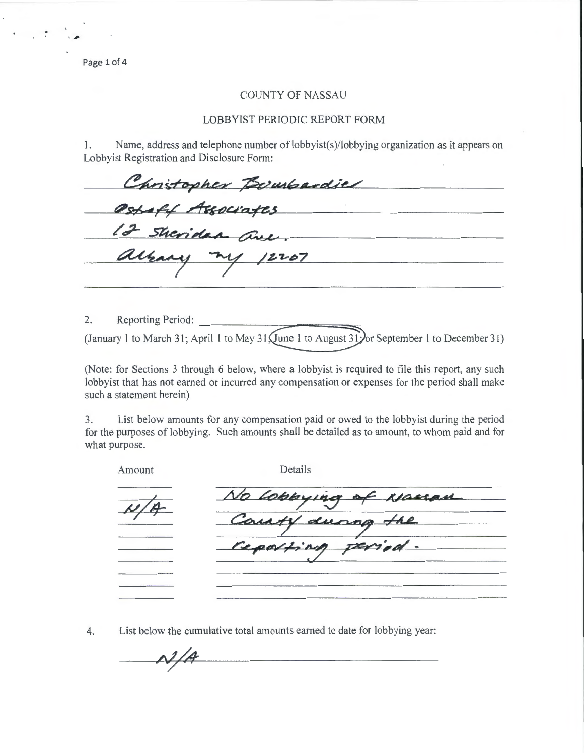Page 1 of 4

#

 $\mathcal{L} = \mathcal{L} \mathcal{L}$ 

## COUNTY OF NASSAU

## LOBBYIST PERIODIC REPORT FORM

1. Name, address and telephone number of lobbyist(s)/lobbying organization as it appears on Lobbyist Registration and Disclosure Form:

| Christopher Bowhardiel |  |
|------------------------|--|
| Ostaff Associates      |  |
| 12 Sheridan ave.       |  |
| albany my 12207        |  |
|                        |  |

2. Reporting Period: (January 1 to March 31; April 1 to May 31  $\sqrt{\frac{1}{2}}$  to August 31 $\sqrt{\frac{1}{2}}$  September 1 to December 31)

(Note: for Sections 3 through 6 below, where a lobbyist is required to file this report, any such lobbyist that has not earned or incurred any compensation or expenses for the period shall make such a statement herein)

3. List below amounts for any compensation paid or owed to the lobbyist during the period for the purposes of lobbying. Such amounts shall be detailed as to amount, to whom paid and for what purpose.

| Amount | Details              |
|--------|----------------------|
| N/A    | No Lobbying of Namen |
|        | Courty during the    |
|        | reporting period.    |
|        |                      |
|        |                      |

4. List below the cumulative total amounts earned to date for lobbying year:

 $\mathcal{N}/\mathcal{A}$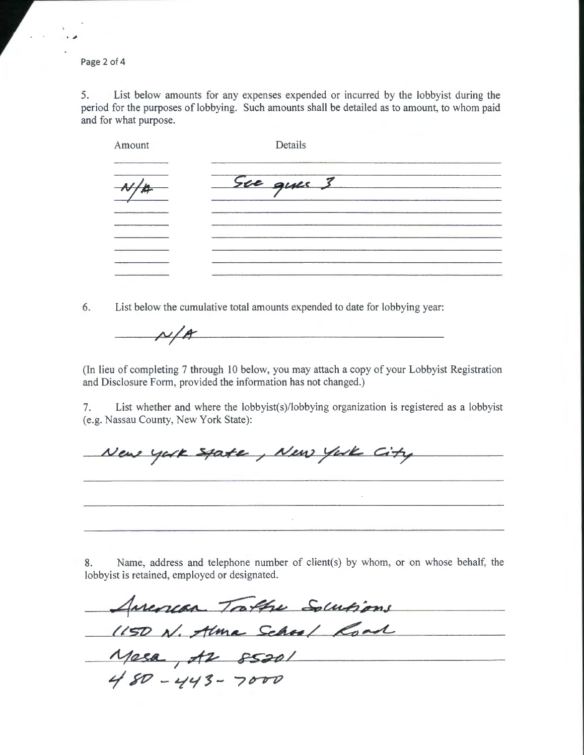Page 2 of 4

,,

5. List below amounts for any expenses expended or incurred by the lobbyist during the period for the purposes of lobbying. Such amounts shall be detailed as to amount, to whom paid and for what purpose.

| Amount | Details   |  |
|--------|-----------|--|
|        | Sue que 3 |  |
|        |           |  |
|        |           |  |
|        |           |  |

6. List below the cumulative total amounts expended to date for lobbying year:

 $\mu/\mu$ 

(In lieu of completing 7 through 10 below, you may attach a copy of your Lobbyist Registration and Disclosure Form, provided the information has not changed.)

7. List whether and where the lobbyist(s)/lobbying organization is registered as a lobbyist (e.g. Nassau County, New York State):

New york spate, New York City 

8. Name, address and telephone number of client(s) by whom, or on whose behalf, the lobbyist is retained, employed or designated.

American Trathe Solutions (150 N. Alma School Road  $Messa$ ,  $A2 85201$  $480 - 443 - 7000$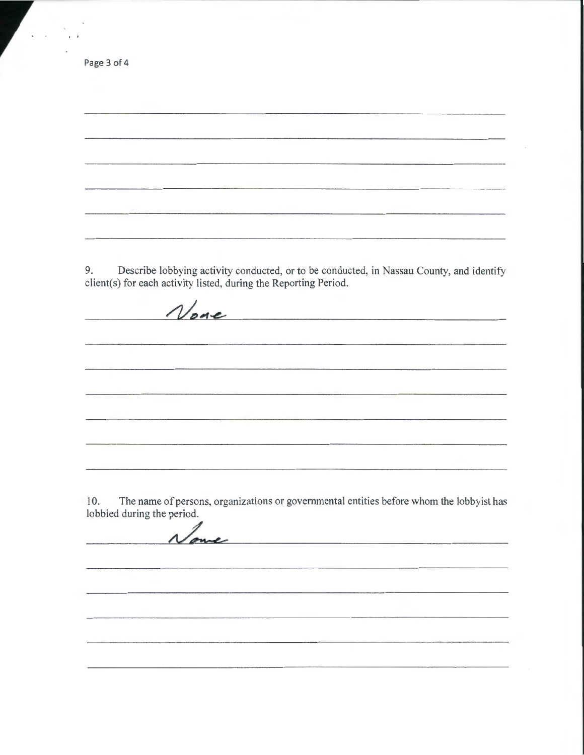9. Describe lobbying activity conducted, or to be conducted, in Nassau County, and identify client(s) for each activity listed, during the Reporting Period. Vone 

-----------------------------------------------------------------------,

10. The name of persons, organizations or governmental entities before whom the lobbyist has lobbied during the period. lobbied during the period.

Page 3 of 4